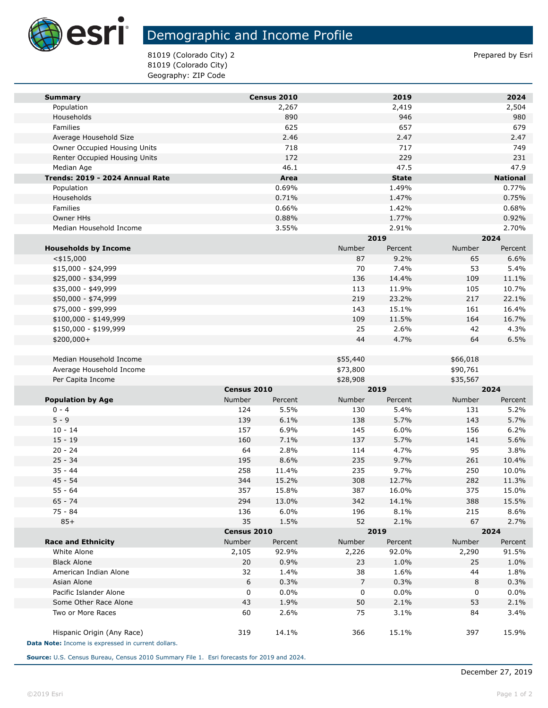

## Demographic and Income Profile

81019 (Colorado City) 2 **Prepared by Esti** 81019 (Colorado City) Geography: ZIP Code

| <b>Summary</b>                                     |             | Census 2010 |          | 2019         |          | 2024            |
|----------------------------------------------------|-------------|-------------|----------|--------------|----------|-----------------|
| Population                                         |             | 2,267       |          | 2,419        |          | 2,504           |
| Households                                         |             | 890         |          | 946<br>657   |          | 980             |
| Families                                           |             | 625         |          |              |          | 679             |
| Average Household Size                             |             | 2.46        |          | 2.47         |          | 2.47            |
| Owner Occupied Housing Units                       |             | 718         |          | 717          |          | 749             |
| Renter Occupied Housing Units                      |             | 172         |          | 229          |          | 231             |
| Median Age                                         |             | 46.1        |          | 47.5         |          | 47.9            |
| Trends: 2019 - 2024 Annual Rate                    |             | Area        |          | <b>State</b> |          | <b>National</b> |
| Population                                         |             | 0.69%       |          | 1.49%        |          | 0.77%           |
| Households                                         |             | 0.71%       |          | 1.47%        |          | 0.75%           |
| Families                                           |             | 0.66%       |          | 1.42%        |          | 0.68%           |
| Owner HHs                                          |             | 0.88%       |          | 1.77%        |          | 0.92%           |
| Median Household Income                            |             | 3.55%       |          | 2.91%        |          | 2.70%           |
|                                                    |             |             |          | 2019         |          | 2024            |
| <b>Households by Income</b>                        |             |             | Number   | Percent      | Number   | Percent         |
| $<$ \$15,000                                       |             |             | 87       | 9.2%         | 65       | 6.6%            |
| $$15,000 - $24,999$                                |             |             | 70       | 7.4%         | 53       | 5.4%            |
| \$25,000 - \$34,999                                |             |             | 136      | 14.4%        | 109      | 11.1%           |
| \$35,000 - \$49,999                                |             |             | 113      | 11.9%        | 105      | 10.7%           |
| \$50,000 - \$74,999                                |             |             | 219      | 23.2%        | 217      | 22.1%           |
| \$75,000 - \$99,999                                |             |             | 143      | 15.1%        | 161      | 16.4%           |
| \$100,000 - \$149,999                              |             |             | 109      | 11.5%        | 164      | 16.7%           |
| \$150,000 - \$199,999                              |             |             | 25       | 2.6%         | 42       | 4.3%            |
| \$200,000+                                         |             |             | 44       | 4.7%         | 64       | 6.5%            |
|                                                    |             |             |          |              |          |                 |
| Median Household Income                            |             |             | \$55,440 |              | \$66,018 |                 |
| Average Household Income                           |             |             | \$73,800 |              | \$90,761 |                 |
| Per Capita Income                                  |             |             | \$28,908 |              | \$35,567 |                 |
|                                                    | Census 2010 |             | 2019     |              | 2024     |                 |
| <b>Population by Age</b>                           | Number      | Percent     | Number   | Percent      | Number   | Percent         |
| $0 - 4$                                            | 124         | 5.5%        | 130      | 5.4%         | 131      | 5.2%            |
| $5 - 9$                                            | 139         | 6.1%        | 138      | 5.7%         | 143      | 5.7%            |
| $10 - 14$                                          | 157         | 6.9%        | 145      | 6.0%         | 156      | 6.2%            |
| $15 - 19$                                          | 160         | 7.1%        | 137      | 5.7%         | 141      | 5.6%            |
| $20 - 24$                                          | 64          | 2.8%        | 114      | 4.7%         | 95       | 3.8%            |
| $25 - 34$                                          | 195         | 8.6%        | 235      | 9.7%         | 261      | 10.4%           |
| $35 - 44$                                          | 258         | 11.4%       | 235      | 9.7%         | 250      | 10.0%           |
| $45 - 54$                                          | 344         | 15.2%       | 308      | 12.7%        | 282      | 11.3%           |
| 55 - 64                                            | 357         | 15.8%       | 387      | 16.0%        | 375      | 15.0%           |
| $65 - 74$                                          | 294         | 13.0%       | 342      | 14.1%        | 388      | 15.5%           |
| 75 - 84                                            | 136         | 6.0%        | 196      | 8.1%         | 215      | 8.6%            |
| $85+$                                              | 35          | 1.5%        | 52       | 2.1%         | 67       | 2.7%            |
|                                                    | Census 2010 |             | 2019     |              | 2024     |                 |
| <b>Race and Ethnicity</b>                          | Number      | Percent     | Number   | Percent      | Number   | Percent         |
| White Alone                                        | 2,105       | 92.9%       | 2,226    | 92.0%        | 2,290    | 91.5%           |
| <b>Black Alone</b>                                 | 20          | 0.9%        | 23       | 1.0%         | 25       | 1.0%            |
| American Indian Alone                              | 32          | 1.4%        | 38       | 1.6%         | 44       | 1.8%            |
| Asian Alone                                        | 6           | 0.3%        | 7        | 0.3%         | 8        | 0.3%            |
| Pacific Islander Alone                             | 0           | 0.0%        | 0        | $0.0\%$      | 0        | $0.0\%$         |
| Some Other Race Alone                              | 43          | 1.9%        | 50       | 2.1%         | 53       | 2.1%            |
| Two or More Races                                  | 60          | 2.6%        | 75       | 3.1%         | 84       | 3.4%            |
|                                                    |             |             |          |              |          |                 |
| Hispanic Origin (Any Race)                         | 319         | 14.1%       | 366      | 15.1%        | 397      | 15.9%           |
| Data Note: Income is expressed in current dollars. |             |             |          |              |          |                 |

**Source:** U.S. Census Bureau, Census 2010 Summary File 1. Esri forecasts for 2019 and 2024.